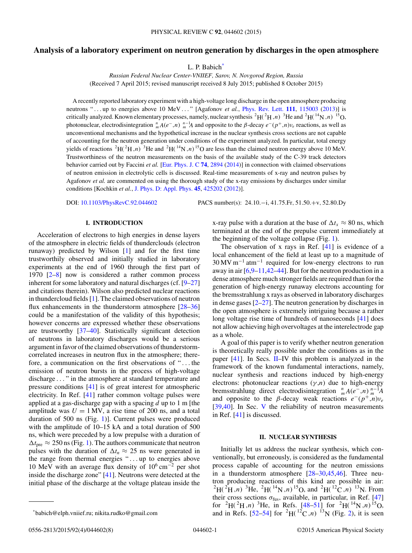# <span id="page-0-0"></span>**Analysis of a laboratory experiment on neutron generation by discharges in the open atmosphere**

L. P. Babich<sup>\*</sup>

*Russian Federal Nuclear Center-VNIIEF, Sarov, N. Novgorod Region, Russia* (Received 7 April 2015; revised manuscript received 8 July 2015; published 8 October 2015)

A recently reported laboratory experiment with a high-voltage long discharge in the open atmosphere producing neutrons "... up to energies above 10 MeV ..." [Agafonov *et al.*, [Phys. Rev. Lett.](http://dx.doi.org/10.1103/PhysRevLett.111.115003) **[111](http://dx.doi.org/10.1103/PhysRevLett.111.115003)**, [115003](http://dx.doi.org/10.1103/PhysRevLett.111.115003) [\(2013\)](http://dx.doi.org/10.1103/PhysRevLett.111.115003)] is critically analyzed. Known elementary processes, namely, nuclear synthesis  ${}^2H(^2H,n)$  <sup>3</sup>He and  ${}^2H(^{14}N,n)$  <sup>15</sup>O, photonuclear, electrodisintegration  $\frac{n}{m}A(e^-,n)\frac{n-1}{m}A$  and opposite to the  $\beta$ -decay  $e^-(p^+,n)v_e$  reactions, as well as unconventional mechanisms and the hypothetical increase in the nuclear synthesis cross sections are not capable of accounting for the neutron generation under conditions of the experiment analyzed. In particular, total energy yields of reactions  ${}^{2}H({}^{2}H,n)$  <sup>3</sup>He and  ${}^{2}H({}^{14}N,n)$ <sup>15</sup>O are less than the claimed neutron energy above 10 MeV. Trustworthiness of the neutron measurements on the basis of the available study of the C-39 track detectors behavior carried out by Faccini *et al.* [\[Eur. Phys. J. C](http://dx.doi.org/10.1140/epjc/s10052-014-2894-3) **[74](http://dx.doi.org/10.1140/epjc/s10052-014-2894-3)**, [2894](http://dx.doi.org/10.1140/epjc/s10052-014-2894-3) [\(2014\)](http://dx.doi.org/10.1140/epjc/s10052-014-2894-3)] in connection with claimed observations of neutron emission in electrolytic cells is discussed. Real-time measurements of x-ray and neutron pulses by Agafonov *et al.* are commented on using the thorough study of the x-ray emissions by discharges under similar conditions [Kochkin *et al.*, [J. Phys. D: Appl. Phys.](http://dx.doi.org/10.1088/0022-3727/45/42/425202) **[45](http://dx.doi.org/10.1088/0022-3727/45/42/425202)**, [425202](http://dx.doi.org/10.1088/0022-3727/45/42/425202) [\(2012\)](http://dx.doi.org/10.1088/0022-3727/45/42/425202)].

DOI: [10.1103/PhysRevC.92.044602](http://dx.doi.org/10.1103/PhysRevC.92.044602) PACS number(s): 24*.*10*.*−i*,* 41*.*75*.*Fr*,* 51*.*50*.*+v*,* 52*.*80*.*Dy

### **I. INTRODUCTION**

Acceleration of electrons to high energies in dense layers of the atmosphere in electric fields of thunderclouds (electron runaway) predicted by Wilson [\[1\]](#page-6-0) and for the first time trustworthily observed and initially studied in laboratory experiments at the end of 1960 through the first part of 1970 [\[2–8\]](#page-6-0) now is considered a rather common process inherent for some laboratory and natural discharges (cf. [\[9–27\]](#page-6-0) and citations therein). Wilson also predicted nuclear reactions in thundercloud fields [\[1\]](#page-6-0). The claimed observations of neutron flux enhancements in the thunderstorm atmosphere  $[28-36]$ could be a manifestation of the validity of this hypothesis; however concerns are expressed whether these observations are trustworthy [\[37–40\]](#page-6-0). Statistically significant detection of neutrons in laboratory discharges would be a serious argument in favor of the claimed observations of thunderstormcorrelated increases in neutron flux in the atmosphere; therefore, a communication on the first observations of "... the emission of neutron bursts in the process of high-voltage discharge . . . " in the atmosphere at standard temperature and pressure conditions [\[41\]](#page-6-0) is of great interest for atmospheric electricity. In Ref. [\[41\]](#page-6-0) rather common voltage pulses were applied at a gas-discharge gap with a spacing *d* up to 1 m [the amplitude was  $U = 1$  MV, a rise time of 200 ns, and a total duration of 500 ns (Fig. [1\)](#page-1-0)]. Current pulses were produced with the amplitude of 10–15 kA and a total duration of 500 ns, which were preceded by a low prepulse with a duration of  $\Delta t_{\rm pre} \approx 250$  ns (Fig. [1\)](#page-1-0). The authors communicate that neutron pulses with the duration of  $\Delta t_n \approx 25$  ns were generated in the range from thermal energies "...up to energies above 10 MeV with an average flux density of  $10^6$  cm<sup>-2</sup> per shot inside the discharge zone" [\[41\]](#page-6-0). Neutrons were detected at the initial phase of the discharge at the voltage plateau inside the

x-ray pulse with a duration at the base of  $\Delta t_x \approx 80$  ns, which terminated at the end of the prepulse current immediately at the beginning of the voltage collapse (Fig. [1\)](#page-1-0).

The observation of x rays in Ref. [\[41\]](#page-6-0) is evidence of a local enhancement of the field at least up to a magnitude of 30 MV m<sup>−</sup><sup>1</sup> atm<sup>−</sup><sup>1</sup> required for low-energy electrons to run away in air  $[6,9-11,42-44]$  $[6,9-11,42-44]$ . But for the neutron production in a dense atmosphere much stronger fields are required than for the generation of high-energy runaway electrons accounting for the bremsstrahlung x rays as observed in laboratory discharges in dense gases  $[2-27]$ . The neutron generation by discharges in the open atmosphere is extremely intriguing because a rather long voltage rise time of hundreds of nanoseconds [\[41\]](#page-6-0) does not allow achieving high overvoltages at the interelectrode gap as a whole.

A goal of this paper is to verify whether neutron generation is theoretically really possible under the conditions as in the paper [\[41\]](#page-6-0). In Secs. II–IV this problem is analyzed in the framework of the known fundamental interactions, namely, nuclear synthesis and reactions induced by high-energy electrons: photonuclear reactions  $(\gamma, n)$  due to high-energy bremsstrahlung direct electrodisintegration  $\frac{n}{m}A(e^-,n)\frac{n-1}{m}A$ and opposite to the *β*-decay weak reactions  $e^-(p^+,n)v_e$ [\[39,40\]](#page-6-0). In Sec. [V](#page-3-0) the reliability of neutron measurements in Ref. [\[41\]](#page-6-0) is discussed.

### **II. NUCLEAR SYNTHESIS**

Initially let us address the nuclear synthesis, which conventionally, but erroneously, is considered as the fundamental process capable of accounting for the neutron emissions in a thunderstorm atmosphere  $[28-30,45,46]$  $[28-30,45,46]$ . Three neutron producing reactions of this kind are possible in air:  ${}^{2}H(^{2}H, n)$  <sup>3</sup>He, <sup>2</sup>H(<sup>14</sup>N, n)<sup>15</sup>O, and <sup>2</sup>H(<sup>12</sup>C, n)<sup>13</sup>N. From their cross sections  $\sigma_{\text{fus}}$ , available, in particular, in Ref. [\[47\]](#page-7-0) for <sup>2</sup>H(<sup>2</sup>H,*n*)<sup>3</sup>He, in Refs. [\[48–51\]](#page-7-0) for <sup>2</sup>H(<sup>14</sup>N,*n*)<sup>15</sup>O, and in Refs. [\[52–54\]](#page-7-0) for <sup>2</sup>H( $^{12}C, n$ ) <sup>13</sup>N (Fig. [2\)](#page-1-0), it is seen

<sup>\*</sup>babich@elph.vniief.ru; nikita.rudko@gmail.com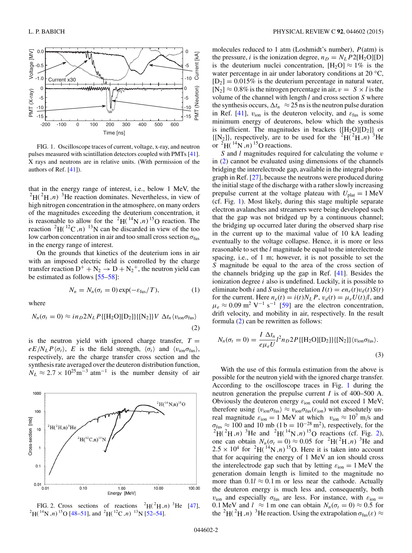<span id="page-1-0"></span>

FIG. 1. Oscilloscope traces of current, voltage, x-ray, and neutron pulses measured with scintillation detectors coupled with PMTs [\[41\]](#page-6-0). X rays and neutrons are in relative units. (With permission of the authors of Ref. [\[41\]](#page-6-0)).

that in the energy range of interest, i.e., below 1 MeV, the  ${}^{2}$ H( ${}^{2}$ H,*n*)<sup>3</sup>He reaction dominates. Nevertheless, in view of high nitrogen concentration in the atmosphere, on many orders of the magnitudes exceeding the deuterium concentration, it is reasonable to allow for the <sup>2</sup>H( $^{14}N,n$ )<sup>15</sup>O reaction. The reaction  ${}^{2}H( {}^{12}C, n) {}^{13}N$  can be discarded in view of the too low carbon concentration in air and too small cross section  $\sigma_{\text{fus}}$ in the energy range of interest.

On the grounds that kinetics of the deuterium ions in air with an imposed electric field is controlled by the charge transfer reaction  $D^+ + N_2 \rightarrow D + N_2^+$ , the neutron yield can be estimated as follows [\[55–58\]](#page-7-0):

$$
N_n = N_n(\sigma_t = 0) \exp(-\varepsilon_{\text{fus}}/T), \tag{1}
$$

where

$$
N_n(\sigma_t = 0) \approx in_D 2N_L P\{[\text{H}_2\text{O}][\text{D}_2]\}\{[\text{N}_2]\}V \Delta t_n \langle v_{\text{ion}} \sigma_{\text{fus}} \rangle
$$
\n(2)

is the neutron yield with ignored charge transfer,  $T =$  $eE/N_L P \langle \sigma_t \rangle$ , *E* is the field strength,  $\langle \sigma_t \rangle$  and  $\langle v_{\text{ion}} \sigma_{\text{fus}} \rangle$ , respectively, are the charge transfer cross section and the synthesis rate averaged over the deuteron distribution function,  $N_L \approx 2.7 \times 10^{25} \text{m}^{-3} \text{ atm}^{-1}$  is the number density of air



FIG. 2. Cross sections of reactions  ${}^{2}H(^{2}H, n)$  <sup>3</sup>He [\[47\]](#page-7-0), <sup>2</sup>H( $^{14}$ N, n)<sup>15</sup>O [\[48–51\]](#page-7-0), and <sup>2</sup>H( $^{12}$ C, n)<sup>13</sup>N [\[52–54\]](#page-7-0).

molecules reduced to 1 atm (Loshmidt's number), *P*(atm) is the pressure, *i* is the ionization degree,  $n_D = N_L P 2[H_2 O][D]$ is the deuterium nuclei concentration,  $[H_2O] \approx 1\%$  is the water percentage in air under laboratory conditions at 20 °C,  $[D_2] = 0.015\%$  is the deuterium percentage in natural water,  $[N_2] \approx 0.8\%$  is the nitrogen percentage in air,  $v = S \times l$  is the volume of the channel with length *l* and cross section *S* where the synthesis occurs,  $\Delta t_n \approx 25$  ns is the neutron pulse duration in Ref. [\[41\]](#page-6-0),  $v_{\text{ion}}$  is the deuteron velocity, and  $\varepsilon_{\text{fus}}$  is some minimum energy of deuterons, below which the synthesis is inefficient. The magnitudes in brackets  $\{[H_2O][D_2]\}$  or  $\{[N_2]\}\$ , respectively, are to be used for the  $\left[{}^{2}H\right]^{2}H$ ,  $n\right)$ <sup>3</sup>He or  ${}^{2}$ H( ${}^{14}$ N,*n*) ${}^{15}$ O reactions.

*S* and *l* magnitudes required for calculating the volume *v* in (2) cannot be evaluated using dimensions of the channels bridging the interelectrode gap, available in the integral photograph in Ref. [\[27\]](#page-6-0), because the neutrons were produced during the initial stage of the discharge with a rather slowly increasing prepulse current at the voltage plateau with  $U_{\text{plat}} = 1 \text{ MeV}$ (cf. Fig. 1). Most likely, during this stage multiple separate electron avalanches and streamers were being developed such that the gap was not bridged up by a continuous channel; the bridging up occurred later during the observed sharp rise in the current up to the maximal value of 10 kA leading eventually to the voltage collapse. Hence, it is more or less reasonable to set the *l* magnitude be equal to the interelectrode spacing, i.e., of 1 m; however, it is not possible to set the *S* magnitude be equal to the area of the cross section of the channels bridging up the gap in Ref. [\[41\]](#page-6-0). Besides the ionization degree *i* also is undefined. Luckily, it is possible to eliminate both *i* and *S* using the relation  $I(t) = en_e(t)v_d(t)S(t)$ for the current. Here  $n_e(t) = i(t)N_L P$ ,  $v_d(t) = \mu_e U(t)/l$ , and  $\mu_e \approx 0.09$  m<sup>2</sup> V<sup>-1</sup> s<sup>-1</sup> [\[59\]](#page-7-0) are the electron concentration, drift velocity, and mobility in air, respectively. In the result formula (2) can be rewritten as follows:

$$
N_n(\sigma_t = 0) = \frac{I \Delta t_n}{e\mu_e U} l^2 n_D 2P\{[H_2O][D_2]\}\{[N_2]\}\langle v_{\text{ion}}\sigma_{\text{fus}}\rangle.
$$
\n(3)

With the use of this formula estimation from the above is possible for the neutron yield with the ignored charge transfer. According to the oscilloscope traces in Fig. 1 during the neutron generation the prepulse current *I* is of 400–500 A. Obviously the deuteron energy  $\varepsilon_{\text{ion}}$  could not exceed 1 MeV; therefore using  $\langle v_{\text{ion}} \sigma_{\text{fus}} \rangle \approx v_{\text{ion}} \sigma_{\text{fus}}(\varepsilon_{\text{ion}})$  with absolutely unreal magnitude  $\varepsilon_{\text{ion}} = 1 \text{ MeV}$  at which  $v_{\text{ion}} \approx 10^7 \text{ m/s}$  and  $\sigma_{\text{fus}} \approx 100$  and 10 mb (1 b = 10<sup>-28</sup> m<sup>2</sup>), respectively, for the <sup>2</sup>H(<sup>2</sup>H,*n*)<sup>3</sup>He and <sup>2</sup>H(<sup>14</sup>N,*n*)<sup>15</sup>O reactions (cf. Fig. 2), one can obtain  $N_n(\sigma_t = 0) \approx 0.05$  for <sup>2</sup>H(<sup>2</sup>H,n)<sup>3</sup>He and  $2.5 \times 10^4$  for <sup>2</sup>H( $^{14}$ N, n)<sup>15</sup>O. Here it is taken into account that for acquiring the energy of 1 MeV an ion should cross the interelectrode gap such that by letting  $\varepsilon_{\text{ion}} = 1 \text{ MeV}$  the generation domain length is limited to the magnitude no more than  $0.1l \approx 0.1$  m or less near the cathode. Actually the deuteron energy is much less and, consequently, both  $v_{\text{ion}}$  and especially  $\sigma_{\text{fus}}$  are less. For instance, with  $\varepsilon_{\text{ion}} =$ 0.1 MeV and  $l \approx 1$  m one can obtain  $N_n(\sigma_t = 0) \approx 0.5$  for the <sup>2</sup>H(<sup>2</sup>H, n)<sup>3</sup>He reaction. Using the extrapolation  $\sigma_{\text{fus}}(\varepsilon) \approx$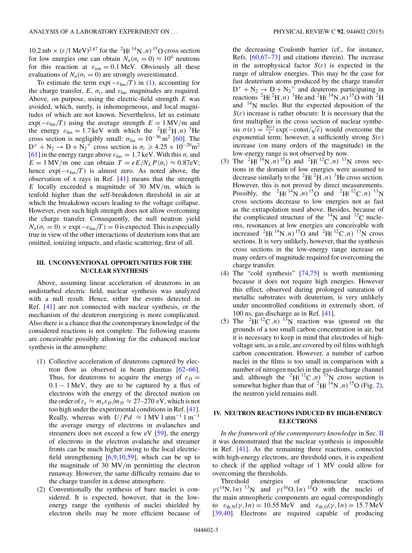$10.2 \text{ mb} \times (\varepsilon/1 \text{ MeV})^{2.67}$  for the <sup>2</sup>H( $^{14}$ N, n)<sup>15</sup>O cross section for low energies one can obtain  $N_n(\sigma_t = 0) \approx 10^4$  neutrons for this reaction at  $\varepsilon_{\text{ion}} = 0.1 \text{ MeV}$ . Obviously all these evaluations of  $N_n(\sigma_t = 0)$  are strongly overestimated.

To estimate the term  $\exp(-\varepsilon_{\text{fus}}/T)$  in [\(1\)](#page-1-0), accounting for the charge transfer,  $E$ ,  $\sigma_t$ , and  $\varepsilon_{\text{fus}}$  magnitudes are required. Above, on purpose, using the electric-field strength *E* was avoided, which, surely, is inhomogeneous, and local magnitudes of which are not known. Nevertheless, let us estimate  $\exp(-\varepsilon_{\text{fus}}/T)$  using the average strength  $E = 1 \text{ MV/m}$  and the energy  $\varepsilon_{\text{fus}} = 1.7 \text{ keV}$  with which the <sup>2</sup>H(<sup>2</sup>H,n)<sup>3</sup>He cross section is negligibly small:  $\sigma_{\text{fus}} = 10^{-36} \text{ m}^2$  [\[60\]](#page-7-0). The  $D^+ + N_2 \rightarrow D + N_2^+$  cross section is  $\sigma_t \ge 4.25 \times 10^{-20}$ m<sup>2</sup> [\[61\]](#page-7-0) in the energy range above  $\varepsilon_{\text{fus}} = 1.7 \text{ keV}$ . With this  $\sigma_t$  and  $E = 1$  MV/m one can obtain  $T = eE/N<sub>L</sub>P \langle \sigma_t \rangle \approx 0.87$ eV; hence  $\exp(-\varepsilon_{\text{fus}}/T)$  is almost zero. As noted above, the observation of x rays in Ref. [\[41\]](#page-6-0) means that the strength *E* locally exceeded a magnitude of 30 MV*/*m, which is tenfold higher than the self-breakdown threshold in air at which the breakdown occurs leading to the voltage collapse. However, even such high strength does not allow overcoming the charge transfer. Consequently, the null neutron yield  $N_n(\sigma_t = 0) \times \exp(-\varepsilon_{\text{fus}}/T) = 0$  is expected. This is especially true in view of the other interactions of deuterium ions that are omitted, ionizing impacts, and elastic scattering, first of all.

# **III. UNCONVENTIONAL OPPORTUNITIES FOR THE NUCLEAR SYNTHESIS**

Above, assuming linear acceleration of deuterons in an undisturbed electric field, nuclear synthesis was analyzed with a null result. Hence, either the events detected in Ref. [\[41\]](#page-6-0) are not connected with nuclear synthesis, or the mechanism of the deuteron energizing is more complicated. Also there is a chance that the contemporary knowledge of the considered reactions is not complete. The following reasons are conceivable possibly allowing for the enhanced nuclear synthesis in the atmosphere:

- (1) Collective acceleration of deuterons captured by electron flow as observed in beam plasmas [\[62–66\]](#page-7-0). Thus, for deuterons to acquire the energy of  $\varepsilon_D =$ 0*.*1 − 1 MeV, they are to be captured by a flux of electrons with the energy of the directed motion on the order of  $\varepsilon_e \approx m_e \varepsilon_D/m_D \approx 27-270$  eV, which is not too high under the experimental conditions in Ref. [\[41\]](#page-6-0). Really, whereas with  $U/Pd \approx 1$  MV 1 atm<sup>-1</sup> 1 m<sup>-1</sup> the average energy of electrons in avalanches and streamers does not exceed a few eV [\[59\]](#page-7-0), the energy of electrons in the electron avalanche and streamer fronts can be much higher owing to the local electricfield strengthening  $[6,9,10,59]$  $[6,9,10,59]$ , which can be up to the magnitude of 30 MV*/*m permitting the electron runaway. However, the same difficulty remains due to the charge transfer in a dense atmosphere.
- (2) Conventionally the synthesis of bare nuclei is considered. It is expected, however, that in the lowenergy range the synthesis of nuclei shielded by electron shells may be more efficient because of

the decreasing Coulomb barrier (cf., for instance, Refs. [\[60,67–73\]](#page-7-0) and citations therein). The increase in the astrophysical factor  $S(\varepsilon)$  is expected in the range of ultralow energies. This may be the case for fast deuterium atoms produced by the charge transfer  $D^+ + N_2 \rightarrow D + N_2^+$  and deuterons participating in reactions <sup>2</sup>H(<sup>2</sup>H,*n*)<sup>3</sup>He and <sup>2</sup>H(<sup>14</sup>N,*n*)<sup>15</sup>O with <sup>2</sup>H and  $14$ N nuclei. But the expected deposition of the  $S(\varepsilon)$  increase is rather obscure: It is necessary that the first multiplier in the cross section of nuclear synthesis *σ*(*ε*) =  $\frac{S(e)}{ε}$  exp(−const/ $\sqrt{ε}$ ) would overcome the exponential term; however, a sufficiently strong  $S(\varepsilon)$ increase (on many orders of the magnitude) in the low-energy range is not observed by now.

- (3) The <sup>2</sup>H( $^{14}N,n$ )<sup>15</sup>O and <sup>2</sup>H( $^{12}C,n$ )<sup>13</sup>N cross sections in the domain of low energies were assumed to decrease similarly to the <sup>2</sup>H( $^{2}$ H, $n$ )<sup>3</sup>He cross section. However, this is not proved by direct measurements. Possibly, the <sup>2</sup>H( $^{14}N,n$ )<sup>15</sup>O and <sup>2</sup>H( $^{12}C,n$ )<sup>13</sup>N cross sections decrease to low energies not as fast as the extrapolation used above. Besides, because of the complicated structure of the  $^{14}$ N and  $^{12}$ C nucleons, resonances at low energies are conceivable with increased <sup>2</sup>H( $^{14}N,n$ )<sup>15</sup>O and <sup>2</sup>H( $^{12}C,n$ )<sup>13</sup>N cross sections. It is very unlikely, however, that the synthesis cross sections in the low-energy range increase on many orders of magnitude required for overcoming the charge transfer.
- (4) The "cold synthesis"  $[74,75]$  is worth mentioning because it does not require high energies. However this effect, observed during prolonged saturation of metallic substrates with deuterium, is very unlikely under uncontrolled conditions in extremely short, of 100 ns, gas discharge as in Ref. [\[41\]](#page-6-0).
- (5) The <sup>2</sup>H( $^{12}C,n$ )  $^{13}N$  reaction was ignored on the grounds of a too small carbon concentration in air, but it is necessary to keep in mind that electrodes of highvoltage sets, as a rule, are covered by oil films with high carbon concentration. However, a number of carbon nuclei in the films is too small in comparison with a number of nitrogen nuclei in the gas-discharge channel and, although the <sup>2</sup>H( $^{12}C, n$ )<sup>13</sup>N cross section is somewhat higher than that of  ${}^{2}H( {}^{14}N, n) {}^{15}O$  (Fig. [2\)](#page-1-0), the neutron yield remains null.

# **IV. NEUTRON REACTIONS INDUCED BY HIGH-ENERGY ELECTRONS**

*In the framework of the contemporary knowledge* in Sec. [II](#page-0-0) it was demonstrated that the nuclear synthesis is impossible in Ref. [\[41\]](#page-6-0). As the remaining three reactions, connected with high-energy electrons, are threshold ones, it is expedient to check if the applied voltage of 1 MV could allow for overcoming the thresholds.

Threshold energies of photonuclear reactions  $\gamma(^{14}N, 1n)$  <sup>13</sup>N and  $\gamma(^{16}O, 1n)$  <sup>15</sup>O with the nuclei of the main atmospheric components are equal correspondingly to  $\varepsilon_{\text{th,N}}(\gamma, 1n) = 10.55 \text{ MeV}$  and  $\varepsilon_{\text{th,O}}(\gamma, 1n) = 15.7 \text{ MeV}$ [\[39,40\]](#page-6-0). Electrons are required capable of producing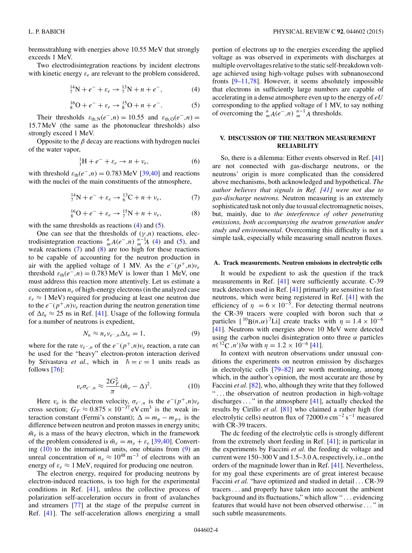<span id="page-3-0"></span>bremsstrahlung with energies above 10.55 MeV that strongly exceeds 1 MeV.

Two electrodisintegration reactions by incident electrons with kinetic energy  $\varepsilon_e$  are relevant to the problem considered,

$$
{}_{7}^{14}\text{N} + e^{-} + \varepsilon_{e} \rightarrow {}_{7}^{13}\text{N} + n + e^{-}, \tag{4}
$$

$$
{}_{8}^{16}O + e^{-} + \varepsilon_{e} \rightarrow {}_{8}^{15}O + n + e^{-}. \tag{5}
$$

Their thresholds  $\varepsilon_{th,N}(e^-, n) = 10.55$  and  $\varepsilon_{th,O}(e^-, n) =$ 15*.*7 MeV (the same as the photonuclear thresholds) also strongly exceed 1 MeV.

Opposite to the  $\beta$  decay are reactions with hydrogen nuclei of the water vapor,

$$
{}_{1}^{1}\mathrm{H}+e^{-}+\varepsilon_{e}\rightarrow n+\nu_{e},\qquad(6)
$$

with threshold  $\varepsilon_{\text{th}}(e^-, n) = 0.783 \text{ MeV}$  [\[39,40\]](#page-6-0) and reactions with the nuclei of the main constituents of the atmosphere,

$$
{}_{7}^{14}\text{N} + e^{-} + \varepsilon_{e} \rightarrow {}_{6}^{13}\text{C} + n + \nu_{e}, \tag{7}
$$

$$
{}_{8}^{16}O + e^{-} + \varepsilon_{e} \rightarrow {}_{7}^{15}N + n + \nu_{e}, \tag{8}
$$

with the same thresholds as reactions  $(4)$  and  $(5)$ .

One can see that the thresholds of  $(\gamma,n)$  reactions, electrodisintegration reactions  $^n_m A(e^-, n)$   $^{n-1}_m A$  (4) and (5), and weak reactions (7) and (8) are too high for these reactions to be capable of accounting for the neutron production in air with the applied voltage of 1 MV. As the  $e^-(p^+,n)v_e$ threshold  $\varepsilon_{\text{th}}(e^-, n) = 0.783 \text{ MeV}$  is lower than 1 MeV, one must address this reaction more attentively. Let us estimate a concentration  $n_e$  of high-energy electrons (in the analyzed case  $\varepsilon_e \approx 1$  MeV) required for producing at least one neutron due to the  $e^-(p^+, n)v_e$  reaction during the neutron generation time of  $\Delta t_n \approx 25$  ns in Ref. [\[41\]](#page-6-0). Usage of the following formula for a number of neutrons is expedient,

$$
N_n \approx n_e v_{e^-,n} \Delta t_n = 1, \tag{9}
$$

where for the rate  $v_{e^-}$ , of the  $e^-(p^+,n)v_e$  reaction, a rate can be used for the "heavy" electron-proton interaction derived by Srivastava *et al.*, which in  $\bar{h} = c = 1$  units reads as follows  $[76]$ :

$$
v_e \sigma_{e^-,n} \approx \frac{2G_F^2}{\pi} (\tilde{m}_e - \Delta)^2.
$$
 (10)

Here  $v_e$  is the electron velocity,  $\sigma_{e^-,n}$  is the  $e^-(p^+,n)v_e$ cross section;  $G_F \approx 0.875 \times 10^{-37}$  eV cm<sup>3</sup> is the weak interaction constant (Fermi's constant);  $\Delta = m_n - m_{p+}$  is the difference between neutron and proton masses in energy units;  $\tilde{m}_e$  is a mass of the heavy electron, which in the framework of the problem considered is  $\tilde{m}_e = m_e + \varepsilon_e$  [\[39,40\]](#page-6-0). Converting  $(10)$  to the international units, one obtains from  $(9)$  an unreal concentration of  $n_e \approx 10^{48} \text{ m}^{-3}$  of electrons with an energy of  $\varepsilon_e \approx 1$  MeV, required for producing one neutron.

The electron energy, required for producing neutrons by electron-induced reactions, is too high for the experimental conditions in Ref. [\[41\]](#page-6-0), unless the collective process of polarization self-acceleration occurs in front of avalanches and streamers [\[77\]](#page-7-0) at the stage of the prepulse current in Ref. [\[41\]](#page-6-0). The self-acceleration allows energizing a small

portion of electrons up to the energies exceeding the applied voltage as was observed in experiments with discharges at multiple overvoltages relative to the static self-breakdown voltage achieved using high-voltage pulses with subnanosecond fronts [\[9–11,](#page-6-0)[78\]](#page-7-0). However, it seems absolutely impossible that electrons in sufficiently large numbers are capable of accelerating in a dense atmosphere even up to the energy of *eU* corresponding to the applied voltage of 1 MV, to say nothing of overcoming the  $\prod_{m=1}^{n} A(e^-, n)$   $\prod_{m=1}^{n-1} A$  thresholds.

# **V. DISCUSSION OF THE NEUTRON MEASUREMENT RELIABILITY**

So, there is a dilemma: Either events observed in Ref. [\[41\]](#page-6-0) are not connected with gas-discharge neutrons, or the neutrons' origin is more complicated than the considered above mechanisms, both acknowledged and hypothetical. *The author believes that signals in Ref. [\[41\]](#page-6-0) were not due to gas-discharge neutrons.* Neutron measuring is an extremely sophisticated task not only due to usual electromagnetic noises, but, mainly, due to *the interference of other penetrating emissions, both accompanying the neutron generation under study and environmental*. Overcoming this difficulty is not a simple task, especially while measuring small neutron fluxes.

#### **A. Track measurements. Neutron emissions in electrolytic cells**

It would be expedient to ask the question if the track measurements in Ref. [\[41\]](#page-6-0) were sufficiently accurate. C-39 track detectors used in Ref. [\[41\]](#page-6-0) primarily are sensitive to fast neutrons, which were being registered in Ref. [\[41\]](#page-6-0) with the efficiency of  $\eta = 6 \times 10^{-5}$ . For detecting thermal neutrons the CR-39 tracers were coupled with boron such that *α* particles  $\left[\right]^{10}B(n,\alpha)^{7}$ Li] create tracks with  $\eta = 1.4 \times 10^{-6}$ [\[41\]](#page-6-0). Neutrons with energies above 10 MeV were detected using the carbon nuclei disintegration onto three *α* particles *n*( $^{12}C$ ,*n'*)3*α* with  $η = 1.2 \times 10^{-6}$  [\[41\]](#page-6-0).

In context with neutron observations under unusual conditions the experiments on neutron emission by discharges in electrolytic cells [\[79–82\]](#page-7-0) are worth mentioning, among which, in the author's opinion, the most accurate are those by Faccini *et al.* [\[82\]](#page-7-0), who, although they write that they followed "... the observation of neutron production in high-voltage discharges  $\dots$ " in the atmosphere [\[41\]](#page-6-0), actually checked the results by Cirillo *et al.* [\[81\]](#page-7-0) who claimed a rather high (for electrolytic cells) neutron flux of 72000 *n* cm<sup>−</sup><sup>2</sup> s<sup>−</sup><sup>1</sup> measured with CR-39 tracers.

The dc feeding of the electrolytic cells is strongly different from the extremely short feeding in Ref. [\[41\]](#page-6-0); in particular in the experiments by Faccini *et al.* the feeding dc voltage and current were 150–300 V and 1.5–3.0 A, respectively, i.e., on the orders of the magnitude lower than in Ref. [\[41\]](#page-6-0). Nevertheless, for my goal these experiments are of great interest because Faccini *et al.* "have optimized and studied in detail . . . CR-39 tracers. . . and properly have taken into account the ambient background and its fluctuations," which allow " . . . evidencing features that would have not been observed otherwise . . . " in such subtle measurements.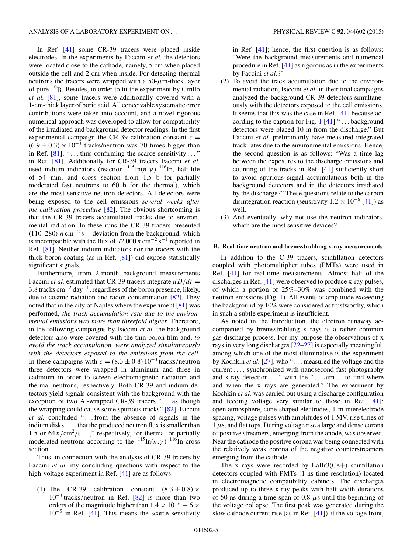In Ref. [\[41\]](#page-6-0) some CR-39 tracers were placed inside electrodes. In the experiments by Faccini *et al.* the detectors were located close to the cathode, namely, 5 cm when placed outside the cell and 2 cm when inside. For detecting thermal neutrons the tracers were wrapped with a 50-*μ*m-thick layer of pure  $10B$ . Besides, in order to fit the experiment by Cirillo *et al.* [\[81\]](#page-7-0), some tracers were additionally covered with a 1-cm-thick layer of boric acid. All conceivable systematic error contributions were taken into account, and a novel rigorous numerical approach was developed to allow for compatibility of the irradiated and background detector readings. In the first experimental campaign the CR-39 calibration constant  $c =$  $(6.9 \pm 0.3) \times 10^{-3}$  tracks/neutron was 70 times bigger than in Ref.  $[81]$ , "... thus confirming the scarce sensitivity..." in Ref. [\[81\]](#page-7-0). Additionally for CR-39 tracers Faccini *et al.* used indium indicators (reaction  $^{115}$ In(*n,γ*)  $^{116}$ In, half-life of 54 min, and cross section from 1.5 b for partially moderated fast neutrons to 60 b for the thermal), which are the most sensitive neutron detectors. All detectors were being exposed to the cell emissions *several weeks after the calibration procedure* [\[82\]](#page-7-0). The obvious shortcoming is that the CR-39 tracers accumulated tracks due to environmental radiation. In these runs the CR-39 tracers presented (110–280)- $n \text{ cm}^{-2} \text{ s}^{-1}$  deviation from the background, which is incompatible with the flux of  $72\,000\,n\,\text{cm}^{-2}\,\text{s}^{-1}$  reported in Ref. [\[81\]](#page-7-0). Neither indium indicators nor the tracers with the thick boron coating (as in Ref.  $[81]$ ) did expose statistically significant signals.

Furthermore, from 2-month background measurements Faccini *et al.* estimated that CR-39 tracers integrate  $dD/dt$  = 3.8 tracks cm<sup> $-2$ </sup> day<sup> $-1$ </sup>, regardless of the boron presence, likely, due to cosmic radiation and radon contamination [\[82\]](#page-7-0). They noted that in the city of Naples where the experiment [\[81\]](#page-7-0) was performed, *the track accumulation rate due to the environmental emissions was more than threefold higher*. Therefore, in the following campaigns by Faccini *et al.* the background detectors also were covered with the thin boron film and, *to avoid the track accumulation, were analyzed simultaneously with the detectors exposed to the emissions from the cell*. In these campaigns with  $c = (8.3 \pm 0.8) 10^{-3}$  tracks/neutron three detectors were wrapped in aluminum and three in cadmium in order to screen electromagnetic radiation and thermal neutrons, respectively. Both CR-39 and indium detectors yield signals consistent with the background with the exception of two Al-wrapped CR-39 tracers "... as though the wrapping could cause some spurious tracks" [\[82\]](#page-7-0). Faccini et al. concluded "...from the absence of signals in the indium disks, . . . that the produced neutron flux is smaller than 1.5 or  $64 n/cm^2$ /s...," respectively, for thermal or partially moderated neutrons according to the  $^{115}$ In(*n,γ*)  $^{116}$ In cross section.

Thus, in connection with the analysis of CR-39 tracers by Faccini *et al.* my concluding questions with respect to the high-voltage experiment in Ref. [\[41\]](#page-6-0) are as follows.

(1) The CR-39 calibration constant  $(8.3 \pm 0.8) \times$ 10<sup>−</sup><sup>3</sup> tracks*/*neutron in Ref. [\[82\]](#page-7-0) is more than two orders of the magnitude higher than  $1.4 \times 10^{-6} - 6 \times$  $10^{-5}$  in Ref. [\[41\]](#page-6-0). This means the scarce sensitivity

in Ref. [\[41\]](#page-6-0); hence, the first question is as follows: "Were the background measurements and numerical procedure in Ref. [\[41\]](#page-6-0) as rigorous as in the experiments by Faccini *et al.*?"

- (2) To avoid the track accumulation due to the environmental radiation, Faccini *et al.* in their final campaigns analyzed the background CR-39 detectors simultaneously with the detectors exposed to the cell emissions. It seems that this was the case in Ref. [\[41\]](#page-6-0) because according to the caption for Fig.  $1 \, [41]$  $1 \, [41]$  $1 \, [41]$  "... background detectors were placed 10 m from the discharge." But Faccini *et al.* preliminarily have measured integrated track rates due to the environmental emissions. Hence, the second question is as follows: "Was a time lag between the exposures to the discharge emissions and counting of the tracks in Ref. [\[41\]](#page-6-0) sufficiently short to avoid spurious signal accumulations both in the background detectors and in the detectors irradiated by the discharge?" These questions relate to the carbon disintegration reaction (sensitivity  $1.2 \times 10^{-6}$  [\[41\]](#page-6-0)) as well.
- (3) And eventually, why not use the neutron indicators, which are the most sensitive devices?

#### **B. Real-time neutron and bremsstrahlung x-ray measurements**

In addition to the C-39 tracers, scintillation detectors coupled with photomultiplier tubes (PMTs) were used in Ref. [\[41\]](#page-6-0) for real-time measurements. Almost half of the discharges in Ref. [\[41\]](#page-6-0) were observed to produce x-ray pulses, of which a portion of 25%–30% was combined with the neutron emissions (Fig. [1\)](#page-1-0). All events of amplitude exceeding the background by 10% were considered as trustworthy, which in such a subtle experiment is insufficient.

As noted in the Introduction, the electron runaway accompanied by bremsstrahlung x rays is a rather common gas-discharge process. For my purpose the observations of x rays in very long discharges [\[22–27\]](#page-6-0) is especially meaningful, among which one of the most illuminative is the experiment by Kochkin *et al.* [\[27\]](#page-6-0), who "... measured the voltage and the current ..., synchronized with nanosecond fast photography and x-ray detection  $\dots$ " with the " $\dots$  aim $\dots$  to find where and when the x rays are generated." The experiment by Kochkin *et al.* was carried out using a discharge configuration and feeding voltage very similar to those in Ref. [\[41\]](#page-6-0): open atmosphere, cone-shaped electrodes, 1-m interelectrode spacing, voltage pulses with amplitudes of 1 MV, rise times of  $1 \mu s$ , and flat tops. During voltage rise a large and dense corona of positive streamers, emerging from the anode, was observed. Near the cathode the positive corona was being connected with the relatively weak corona of the negative counterstreamers emerging from the cathode.

The x rays were recorded by  $LaBr3(Ce+)$  scintillation detectors coupled with PMTs (1-ns time resolution) located in electromagnetic compatibility cabinets. The discharges produced up to three x-ray peaks with half-width durations of 50 ns during a time span of 0.8 *μ*s until the beginning of the voltage collapse. The first peak was generated during the slow cathode current rise (as in Ref. [\[41\]](#page-6-0)) at the voltage front,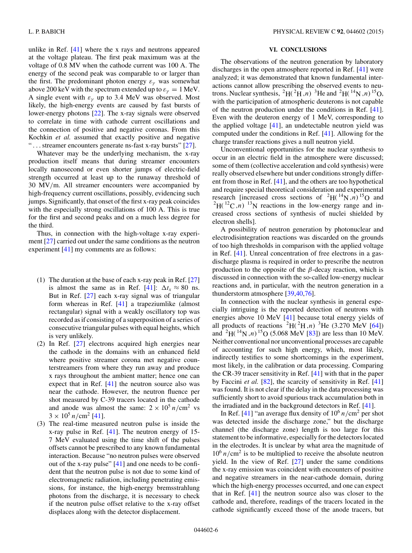unlike in Ref. [\[41\]](#page-6-0) where the x rays and neutrons appeared at the voltage plateau. The first peak maximum was at the voltage of 0.8 MV when the cathode current was 100 A. The energy of the second peak was comparable to or larger than the first. The predominant photon energy  $\varepsilon_{\gamma}$  was somewhat above 200 keV with the spectrum extended up to  $\varepsilon_{\gamma} = 1$  MeV. A single event with  $\varepsilon_{\nu}$  up to 3.4 MeV was observed. Most likely, the high-energy events are caused by fast bursts of lower-energy photons [\[22\]](#page-6-0). The x-ray signals were observed to correlate in time with cathode current oscillations and the connection of positive and negative coronas. From this Kochkin *et al.* assumed that exactly positive and negative ... streamer encounters generate ns-fast x-ray bursts" [\[27\]](#page-6-0).

Whatever may be the underlying mechanism, the x-ray production itself means that during streamer encounters locally nanosecond or even shorter jumps of electric-field strength occurred at least up to the runaway threshold of 30 MV*/*m. All streamer encounters were accompanied by high-frequency current oscillations, possibly, evidencing such jumps. Significantly, that onset of the first x-ray peak coincides with the especially strong oscillations of 100 A. This is true for the first and second peaks and on a much less degree for the third.

Thus, in connection with the high-voltage x-ray experiment [\[27\]](#page-6-0) carried out under the same conditions as the neutron experiment [\[41\]](#page-6-0) my comments are as follows:

- (1) The duration at the base of each x-ray peak in Ref. [\[27\]](#page-6-0) is almost the same as in Ref. [\[41\]](#page-6-0):  $\Delta t_x \approx 80$  ns. But in Ref. [\[27\]](#page-6-0) each x-ray signal was of triangular form whereas in Ref. [\[41\]](#page-6-0) a trapeziumlike (almost rectangular) signal with a weakly oscillatory top was recorded as if consisting of a superposition of a series of consecutive triangular pulses with equal heights, which is very unlikely.
- (2) In Ref. [\[27\]](#page-6-0) electrons acquired high energies near the cathode in the domains with an enhanced field where positive streamer corona met negative counterstreamers from where they run away and produce x rays throughout the ambient matter; hence one can expect that in Ref. [\[41\]](#page-6-0) the neutron source also was near the cathode. However, the neutron fluence per shot measured by C-39 tracers located in the cathode and anode was almost the same:  $2 \times 10^5 n/cm^2$  vs  $3 \times 10^5$  *n*/cm<sup>2</sup> [\[41\]](#page-6-0).
- (3) The real-time measured neutron pulse is inside the x-ray pulse in Ref. [\[41\]](#page-6-0). The neutron energy of 15- 7 MeV evaluated using the time shift of the pulses offsets cannot be prescribed to any known fundamental interaction. Because "no neutron pulses were observed out of the x-ray pulse" [\[41\]](#page-6-0) and one needs to be confident that the neutron pulse is not due to some kind of electromagnetic radiation, including penetrating emissions, for instance, the high-energy bremsstrahlung photons from the discharge, it is necessary to check if the neutron pulse offset relative to the x-ray offset displaces along with the detector displacement.

#### **VI. CONCLUSIONS**

The observations of the neutron generation by laboratory discharges in the open atmosphere reported in Ref. [\[41\]](#page-6-0) were analyzed; it was demonstrated that known fundamental interactions cannot allow prescribing the observed events to neutrons. Nuclear synthesis,  ${}^{2}H({}^{2}H, n)$  <sup>3</sup>He and  ${}^{2}H({}^{14}N, n)$  <sup>15</sup>O, with the participation of atmospheric deuterons is not capable of the neutron production under the conditions in Ref. [\[41\]](#page-6-0). Even with the deuteron energy of 1 MeV, corresponding to the applied voltage [\[41\]](#page-6-0), an undetectable neutron yield was computed under the conditions in Ref. [\[41\]](#page-6-0). Allowing for the charge transfer reactions gives a null neutron yield.

Unconventional opportunities for the nuclear synthesis to occur in an electric field in the atmosphere were discussed; some of them (collective acceleration and cold synthesis) were really observed elsewhere but under conditions strongly different from those in Ref. [\[41\]](#page-6-0), and the others are too hypothetical and require special theoretical consideration and experimental research [increased cross sections of  ${}^{2}H( {}^{14}N, n) {}^{15}O$  and  ${}^{2}$ H( ${}^{12}$ C,*n*)  ${}^{13}$ N reactions in the low-energy range and increased cross sections of synthesis of nuclei shielded by electron shells].

A possibility of neutron generation by photonuclear and electrodisintegration reactions was discarded on the grounds of too high thresholds in comparison with the applied voltage in Ref. [\[41\]](#page-6-0). Unreal concentration of free electrons in a gasdischarge plasma is required in order to prescribe the neutron production to the opposite of the  $\beta$ -decay reaction, which is discussed in connection with the so-called low-energy nuclear reactions and, in particular, with the neutron generation in a thunderstorm atmosphere [\[39,40,](#page-6-0)[76\]](#page-7-0).

In connection with the nuclear synthesis in general especially intriguing is the reported detection of neutrons with energies above 10 MeV [\[41\]](#page-6-0) because total energy yields of all products of reactions  ${}^{2}H(^{2}H,n)$  <sup>3</sup>He (3.270 MeV [\[64\]](#page-7-0)) and <sup>2</sup>H( $^{14}$ N, n)<sup>15</sup>O (5.068 MeV [\[83\]](#page-7-0)) are less than 10 MeV. Neither conventional nor unconventional processes are capable of accounting for such high energy, which, most likely, indirectly testifies to some shortcomings in the experiment, most likely, in the calibration or data processing. Comparing the CR-39 tracer sensitivity in Ref. [\[41\]](#page-6-0) with that in the paper by Faccini *et al.* [\[82\]](#page-7-0), the scarcity of sensitivity in Ref. [\[41\]](#page-6-0) was found. It is not clear if the delay in the data processing was sufficiently short to avoid spurious track accumulation both in the irradiated and in the background detectors in Ref. [\[41\]](#page-6-0).

In Ref.  $[41]$  "an average flux density of  $10<sup>6</sup> n/cm<sup>2</sup>$  per shot was detected inside the discharge zone," but the discharge channel (the discharge zone) length is too large for this statement to be informative, especially for the detectors located in the electrodes. It is unclear by what area the magnitude of  $10^6$  *n*/cm<sup>2</sup> is to be multiplied to receive the absolute neutron yield. In the view of Ref. [\[27\]](#page-6-0) under the same conditions the x-ray emission was coincident with encounters of positive and negative streamers in the near-cathode domain, during which the high-energy processes occurred, and one can expect that in Ref. [\[41\]](#page-6-0) the neutron source also was closer to the cathode and, therefore, readings of the tracers located in the cathode significantly exceed those of the anode tracers, but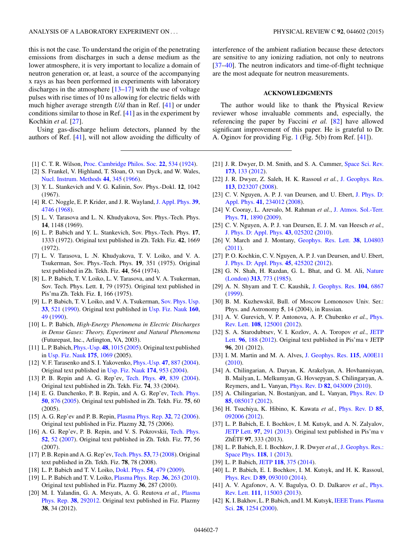<span id="page-6-0"></span>this is not the case. To understand the origin of the penetrating emissions from discharges in such a dense medium as the lower atmosphere, it is very important to localize a domain of neutron generation or, at least, a source of the accompanying x rays as has been performed in experiments with laboratory discharges in the atmosphere  $[13-17]$  with the use of voltage pulses with rise times of 10 ns allowing for electric fields with much higher average strength *U/d* than in Ref. [41] or under conditions similar to those in Ref. [41] as in the experiment by Kochkin *et al.* [27].

Using gas-discharge helium detectors, planned by the authors of Ref. [41], will not allow avoiding the difficulty of

- [1] C. T. R. Wilson, [Proc. Cambridge Philos. Soc.](http://dx.doi.org/10.1017/S0305004100003236) **[22](http://dx.doi.org/10.1017/S0305004100003236)**, [534](http://dx.doi.org/10.1017/S0305004100003236) [\(1924\)](http://dx.doi.org/10.1017/S0305004100003236).
- [2] S. Frankel, V. Highland, T. Sloan, O. van Dyck, and W. Wales, [Nucl. Instrum. Methods](http://dx.doi.org/10.1016/0029-554X(66)90172-8) **[44](http://dx.doi.org/10.1016/0029-554X(66)90172-8)**, [345](http://dx.doi.org/10.1016/0029-554X(66)90172-8) [\(1966\)](http://dx.doi.org/10.1016/0029-554X(66)90172-8).
- [3] Y. L. Stankevich and V. G. Kalinin, Sov. Phys.-Dokl. **12**, 1042 (1967).
- [4] R. C. Noggle, E. P. Krider, and J. R. Wayland, [J. Appl. Phys.](http://dx.doi.org/10.1063/1.1655832) **[39](http://dx.doi.org/10.1063/1.1655832)**, [4746](http://dx.doi.org/10.1063/1.1655832) [\(1968\)](http://dx.doi.org/10.1063/1.1655832).
- [5] L. V. Tarasova and L. N. Khudyakova, Sov. Phys.-Tech. Phys. **14**, 1148 (1969).
- [6] L. P. Babich and Y. L. Stankevich, Sov. Phys.-Tech. Phys. **17**, 1333 (1972). Original text published in Zh. Tekh. Fiz. **42**, 1669 (1972).
- [7] L. V. Tarasova, L .N. Khudyakova, T. V. Loiko, and V. A. Tsukerman, Sov. Phys.-Tech. Phys. **19**, 351 (1975). Original text published in Zh. Tekh. Fiz. **44**, 564 (1974).
- [8] L. P. Babich, T. V. Loiko, L. V. Tarasova, and V. A. Tsukerman, Sov. Tech. Phys. Lett. **1**, 79 (1975). Original text published in Pis'ma Zh. Tekh. Fiz. **1**, 166 (1975).
- [9] L. P. Babich, T. V. Loiko, and V. A. Tsukerman, [Sov. Phys. Usp.](http://dx.doi.org/10.1070/PU1990v033n07ABEH002606) **[33](http://dx.doi.org/10.1070/PU1990v033n07ABEH002606)**, [521](http://dx.doi.org/10.1070/PU1990v033n07ABEH002606) [\(1990\)](http://dx.doi.org/10.1070/PU1990v033n07ABEH002606). Original text published in [Usp. Fiz. Nauk](http://dx.doi.org/10.3367/UFNr.0160.199007b.0049) **[160](http://dx.doi.org/10.3367/UFNr.0160.199007b.0049)**, [49](http://dx.doi.org/10.3367/UFNr.0160.199007b.0049) [\(1990\)](http://dx.doi.org/10.3367/UFNr.0160.199007b.0049).
- [10] L. P. Babich, *High-Energy Phenomena in Electric Discharges in Dense Gases: Theory, Experiment and Natural Phenomena* (Futurepast, Inc., Arlington, VA, 2003).
- [11] L. P. Babich, [Phys.-Usp.](http://dx.doi.org/10.1070/PU2005v048n10ABEH002805) **[48](http://dx.doi.org/10.1070/PU2005v048n10ABEH002805)**, [1015](http://dx.doi.org/10.1070/PU2005v048n10ABEH002805) [\(2005\)](http://dx.doi.org/10.1070/PU2005v048n10ABEH002805). Original text published in [Usp. Fiz. Nauk](http://dx.doi.org/10.3367/UFNr.0175.200510g.1069) **[175](http://dx.doi.org/10.3367/UFNr.0175.200510g.1069)**, [1069](http://dx.doi.org/10.3367/UFNr.0175.200510g.1069) (2005).
- [12] V. F. Tarasenko and S. I. Yakovenko, [Phys.-Usp.](http://dx.doi.org/10.1070/PU2004v047n09ABEH001790) **[47](http://dx.doi.org/10.1070/PU2004v047n09ABEH001790)**, [887](http://dx.doi.org/10.1070/PU2004v047n09ABEH001790) [\(2004\)](http://dx.doi.org/10.1070/PU2004v047n09ABEH001790). Original text published in [Usp. Fiz. Nauk](http://dx.doi.org/10.3367/UFNr.0174.200409b.0953) **[174](http://dx.doi.org/10.3367/UFNr.0174.200409b.0953)**, [953](http://dx.doi.org/10.3367/UFNr.0174.200409b.0953) [\(2004\)](http://dx.doi.org/10.3367/UFNr.0174.200409b.0953).
- [13] P. B. Repin and A. G. Rep'ev, [Tech. Phys.](http://dx.doi.org/10.1134/1.1778856) **[49](http://dx.doi.org/10.1134/1.1778856)**, [839](http://dx.doi.org/10.1134/1.1778856) [\(2004\)](http://dx.doi.org/10.1134/1.1778856). Original text published in Zh. Tekh. Fiz. **74**, 33 (2004).
- [14] E. G. Danchenko, P. B. Repin, and A. G. Rep'ev, [Tech. Phys.](http://dx.doi.org/10.1134/1.1994967) **[50](http://dx.doi.org/10.1134/1.1994967)**, [876](http://dx.doi.org/10.1134/1.1994967) [\(2005\)](http://dx.doi.org/10.1134/1.1994967). Original text published in Zh. Tekh. Fiz. **75**, 60 (2005).
- [15] A. G. Rep'ev and P. B. Repin, [Plasma Phys. Rep.](http://dx.doi.org/10.1134/S1063780X06010077) **[32](http://dx.doi.org/10.1134/S1063780X06010077)**, [72](http://dx.doi.org/10.1134/S1063780X06010077) [\(2006\)](http://dx.doi.org/10.1134/S1063780X06010077). Original text published in Fiz. Plazmy **32**, 75 (2006).
- [16] A. G. Rep'ev, P. B. Repin, and V. S. Pokrovskii, [Tech. Phys.](http://dx.doi.org/10.1134/S1063784207010094) **[52](http://dx.doi.org/10.1134/S1063784207010094)**, [52](http://dx.doi.org/10.1134/S1063784207010094) [\(2007\)](http://dx.doi.org/10.1134/S1063784207010094). Original text published in Zh. Tekh. Fiz. **77**, 56 (2007).
- [17] P. B. Repin and A. G. Rep'ev, [Tech. Phys.](http://dx.doi.org/10.1134/S1063784208010143) **[53](http://dx.doi.org/10.1134/S1063784208010143)**, [73](http://dx.doi.org/10.1134/S1063784208010143) [\(2008\)](http://dx.doi.org/10.1134/S1063784208010143). Original text published in Zh. Tekh. Fiz. **78**, 78 (2008).
- [18] L. P. Babich and T. V. Loiko, [Dokl. Phys.](http://dx.doi.org/10.1134/S1028335809110019) **[54](http://dx.doi.org/10.1134/S1028335809110019)**, [479](http://dx.doi.org/10.1134/S1028335809110019) [\(2009\)](http://dx.doi.org/10.1134/S1028335809110019).
- [19] L. P. Babich and T. V. Loiko, [Plasma Phys. Rep.](http://dx.doi.org/10.1134/S1063780X10030086) **[36](http://dx.doi.org/10.1134/S1063780X10030086)**, [263](http://dx.doi.org/10.1134/S1063780X10030086) [\(2010\)](http://dx.doi.org/10.1134/S1063780X10030086). Original text published in Fiz. Plazmy **36**, 287 (2010).
- [20] [M. I. Yalandin, G. A. Mesyats, A. G. Reutova](http://dx.doi.org/10.1134/S1063780X11110055) *et al.*, Plasma Phys. Rep. **[38](http://dx.doi.org/10.1134/S1063780X11110055)**, [292012.](http://dx.doi.org/10.1134/S1063780X11110055) Original text published in Fiz. Plazmy **38**, 34 (2012).

interference of the ambient radiation because these detectors are sensitive to any ionizing radiation, not only to neutrons [37–40]. The neutron indicators and time-of-flight technique are the most adequate for neutron measurements.

#### **ACKNOWLEDGMENTS**

The author would like to thank the Physical Review reviewer whose invaluable comments and, especially, the referencing the paper by Faccini *et al.* [\[82\]](#page-7-0) have allowed significant improvement of this paper. He is grateful to Dr. A. Oginov for providing Fig. [1](#page-1-0) (Fig. 5(b) from Ref. [41]).

- [21] J. R. Dwyer, D. M. Smith, and S. A. Cummer, [Space Sci. Rev.](http://dx.doi.org/10.1007/s11214-012-9894-0) **[173](http://dx.doi.org/10.1007/s11214-012-9894-0)**, [133](http://dx.doi.org/10.1007/s11214-012-9894-0) [\(2012\)](http://dx.doi.org/10.1007/s11214-012-9894-0).
- [22] J. R. Dwyer, Z. Saleh, H. K. Rassoul *et al.*, [J. Geophys. Res.](http://dx.doi.org/10.1029/2008JD010315) **[113](http://dx.doi.org/10.1029/2008JD010315)**, [D23207](http://dx.doi.org/10.1029/2008JD010315) [\(2008\)](http://dx.doi.org/10.1029/2008JD010315).
- [23] [C. V. Nguyen, A. P. J. van Deursen, and U. Ebert,](http://dx.doi.org/10.1088/0022-3727/41/23/234012) J. Phys. D: Appl. Phys. **[41](http://dx.doi.org/10.1088/0022-3727/41/23/234012)**, [234012](http://dx.doi.org/10.1088/0022-3727/41/23/234012) [\(2008\)](http://dx.doi.org/10.1088/0022-3727/41/23/234012).
- [24] [V. Cooray, L. Arevalo, M. Rahman](http://dx.doi.org/10.1016/j.jastp.2009.07.010) *et al.*, J. Atmos. Sol.-Terr. Phys. **[71](http://dx.doi.org/10.1016/j.jastp.2009.07.010)**, [1890](http://dx.doi.org/10.1016/j.jastp.2009.07.010) [\(2009\)](http://dx.doi.org/10.1016/j.jastp.2009.07.010).
- [25] C. V. Nguyen, A. P. J. van Deursen, E. J. M. van Heesch *et al.*, [J. Phys. D: Appl. Phys.](http://dx.doi.org/10.1088/0022-3727/43/2/025202) **[43](http://dx.doi.org/10.1088/0022-3727/43/2/025202)**, [025202](http://dx.doi.org/10.1088/0022-3727/43/2/025202) [\(2010\)](http://dx.doi.org/10.1088/0022-3727/43/2/025202).
- [26] V. March and J. Montany, [Geophys. Res. Lett.](http://dx.doi.org/10.1029/2010GL046540) **[38](http://dx.doi.org/10.1029/2010GL046540)**, [L04803](http://dx.doi.org/10.1029/2010GL046540) [\(2011\)](http://dx.doi.org/10.1029/2010GL046540).
- [27] P. O. Kochkin, C. V. Nguyen, A. P. J. van Deursen, and U. Ebert, [J. Phys. D: Appl. Phys.](http://dx.doi.org/10.1088/0022-3727/45/42/425202) **[45](http://dx.doi.org/10.1088/0022-3727/45/42/425202)**, [425202](http://dx.doi.org/10.1088/0022-3727/45/42/425202) [\(2012\)](http://dx.doi.org/10.1088/0022-3727/45/42/425202).
- [28] [G. N. Shah, H. Razdan, G. L. Bhat, and G. M. Ali,](http://dx.doi.org/10.1038/313773a0) Nature (London) **[313](http://dx.doi.org/10.1038/313773a0)**, [773](http://dx.doi.org/10.1038/313773a0) [\(1985\)](http://dx.doi.org/10.1038/313773a0).
- [29] A. N. Shyam and T. C. Kaushik, [J. Geophys. Res.](http://dx.doi.org/10.1029/98JA02683) **[104](http://dx.doi.org/10.1029/98JA02683)**, [6867](http://dx.doi.org/10.1029/98JA02683) [\(1999\)](http://dx.doi.org/10.1029/98JA02683).
- [30] B. M. Kuzhewskiĭ, Bull. of Moscow Lomonosov Univ. Ser.: Phys. and Astronomy **5**, 14 (2004), in Russian.
- [31] [A. V. Gurevich, V. P. Antonova, A. P. Chubenko](http://dx.doi.org/10.1103/PhysRevLett.108.125001) *et al.*, Phys. Rev. Lett. **[108](http://dx.doi.org/10.1103/PhysRevLett.108.125001)**, [125001](http://dx.doi.org/10.1103/PhysRevLett.108.125001) [\(2012\)](http://dx.doi.org/10.1103/PhysRevLett.108.125001).
- [32] [S. A. Starodubtsev, V. I. Kozlov, A. A. Toropov](http://dx.doi.org/10.1134/S0021364012150106) *et al.*, JETP Lett. **[96](http://dx.doi.org/10.1134/S0021364012150106)**, [188](http://dx.doi.org/10.1134/S0021364012150106) [\(2012\)](http://dx.doi.org/10.1134/S0021364012150106). Original text published in Pis'ma v JETP **96**, 201 (2012).
- [33] I. M. Martin and M. A. Alves, [J. Geophys. Res.](http://dx.doi.org/10.1029/2009JA014498) **[115](http://dx.doi.org/10.1029/2009JA014498)**, [A00E11](http://dx.doi.org/10.1029/2009JA014498)  $(2010)$ .
- [34] A. Chilingarian, A. Daryan, K. Arakelyan, A. Hovhannisyan, B. Mailyan, L. Melkumyan, G. Hovsepyan, S. Chilingaryan, A. Reymers, and L. Vanyan, [Phys. Rev. D](http://dx.doi.org/10.1103/PhysRevD.82.043009) **[82](http://dx.doi.org/10.1103/PhysRevD.82.043009)**, [043009](http://dx.doi.org/10.1103/PhysRevD.82.043009) [\(2010\)](http://dx.doi.org/10.1103/PhysRevD.82.043009).
- [35] A. Chilingarian, N. Bostanjyan, and L. Vanyan, *[Phys. Rev. D](http://dx.doi.org/10.1103/PhysRevD.85.085017)* **[85](http://dx.doi.org/10.1103/PhysRevD.85.085017)**, [085017](http://dx.doi.org/10.1103/PhysRevD.85.085017) [\(2012\)](http://dx.doi.org/10.1103/PhysRevD.85.085017).
- [36] H. Tsuchiya, K. Hibino, K. Kawata *et al.*, [Phys. Rev. D](http://dx.doi.org/10.1103/PhysRevD.85.092006) **[85](http://dx.doi.org/10.1103/PhysRevD.85.092006)**, [092006](http://dx.doi.org/10.1103/PhysRevD.85.092006) [\(2012\)](http://dx.doi.org/10.1103/PhysRevD.85.092006).
- [37] L. P. Babich, E. I. Bochkov, I. M. Kutsyk, and A. N. Zalyalov, [JETP Lett.](http://dx.doi.org/10.1134/S0021364013060027) **[97](http://dx.doi.org/10.1134/S0021364013060027)**, [291](http://dx.doi.org/10.1134/S0021364013060027) [\(2013\)](http://dx.doi.org/10.1134/S0021364013060027). Original text published in Pis'ma v ZhÉTF 97, 333 (2013).
- [38] [L. P. Babich, E. I. Bochkov, J. R. Dwyer](http://dx.doi.org/10.1029/2012JA018247) *et al.*, J. Geophys. Res.: Space Phys. **[118](http://dx.doi.org/10.1029/2012JA018247)**, [1](http://dx.doi.org/10.1029/2012JA018247) [\(2013\)](http://dx.doi.org/10.1029/2012JA018247).
- [39] L. P. Babich, [JETP](http://dx.doi.org/10.1134/S1063776114030017) **[118](http://dx.doi.org/10.1134/S1063776114030017)**, [375](http://dx.doi.org/10.1134/S1063776114030017) [\(2014\)](http://dx.doi.org/10.1134/S1063776114030017).
- [40] L. P. Babich, E. I. Bochkov, I. M. Kutsyk, and H. K. Rassoul, [Phys. Rev. D](http://dx.doi.org/10.1103/PhysRevD.89.093010) **[89](http://dx.doi.org/10.1103/PhysRevD.89.093010)**, [093010](http://dx.doi.org/10.1103/PhysRevD.89.093010) [\(2014\)](http://dx.doi.org/10.1103/PhysRevD.89.093010).
- [41] [A. V. Agafonov, A. V. Bagulya, O. D. Dalkarov](http://dx.doi.org/10.1103/PhysRevLett.111.115003) *et al.*, Phys. Rev. Lett. **[111](http://dx.doi.org/10.1103/PhysRevLett.111.115003)**, [115003](http://dx.doi.org/10.1103/PhysRevLett.111.115003) [\(2013\)](http://dx.doi.org/10.1103/PhysRevLett.111.115003).
- [42] K. I. Bakhov, L. P. Babich, and I. M. Kutsyk, IEEE Trans. Plasma Sci. **[28](http://dx.doi.org/10.1109/27.893314)**, [1254](http://dx.doi.org/10.1109/27.893314) [\(2000\)](http://dx.doi.org/10.1109/27.893314).